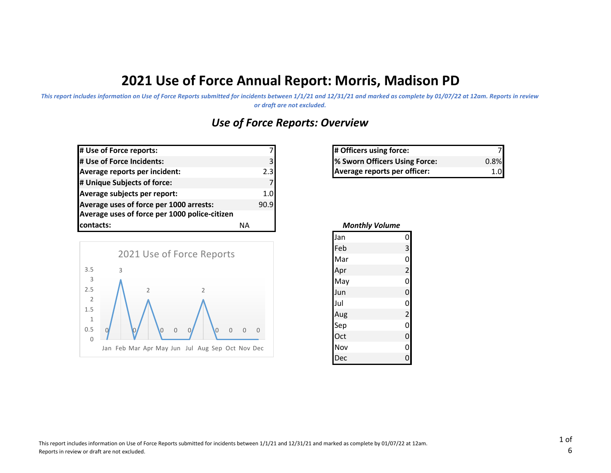# **2021 Use of Force Annual Report: Morris, Madison PD**

*This report includes information on Use of Force Reports submitted for incidents between 1/1/21 and 12/31/21 and marked as complete by 01/07/22 at 12am. Reports in review or draft are not excluded.*

# *Use of Force Reports: Overview*

| # Use of Force reports:                       |      |
|-----------------------------------------------|------|
| # Use of Force Incidents:                     | 31   |
| Average reports per incident:                 | 2.3  |
| # Unique Subjects of force:                   |      |
| Average subjects per report:                  | 1.0  |
| Average uses of force per 1000 arrests:       | 90.9 |
| Average uses of force per 1000 police-citizen |      |
| contacts:                                     | ΝA   |



| 7  | # Officers using force:       |         |
|----|-------------------------------|---------|
| ا3 | % Sworn Officers Using Force: | $0.8\%$ |
| 3l | Average reports per officer:  |         |

| <b>Monthly Volume</b> |                         |  |
|-----------------------|-------------------------|--|
| Jan                   | $\overline{0}$          |  |
| Feb                   | $\overline{\mathbf{3}}$ |  |
| Mar                   | $\overline{0}$          |  |
| Apr                   | $\overline{a}$          |  |
| May                   | $\overline{0}$          |  |
| Jun                   | $\mathbf 0$             |  |
| Jul                   | $\mathbf{O}$            |  |
| Aug                   | $\overline{c}$          |  |
| Sep                   | $\overline{0}$          |  |
| Oct                   | $\overline{0}$          |  |
| Nov                   | $\overline{0}$          |  |
| Dec                   |                         |  |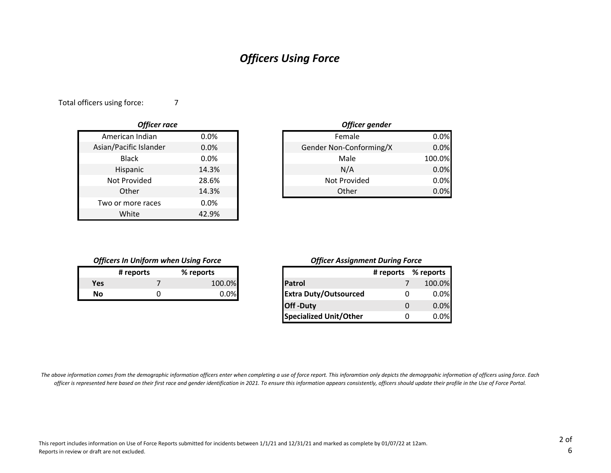## *Officers Using Force*

Total officers using force:

| <b>Officer race</b>    |       |
|------------------------|-------|
| American Indian        | 0.0%  |
| Asian/Pacific Islander | 0.0%  |
| Black                  | 0.0%  |
| Hispanic               | 14.3% |
| Not Provided           | 28.6% |
| Other                  | 14.3% |
| Two or more races      | 0.0%  |
| White                  | 42.9% |

7

|       | Officer gender          |        |
|-------|-------------------------|--------|
| 0.0%  | Female                  | 0.0%   |
| 0.0%  | Gender Non-Conforming/X | 0.0%   |
| 0.0%  | Male                    | 100.0% |
| 14.3% | N/A                     | 0.0%   |
| 28.6% | Not Provided            | 0.0%   |
| 14.3% | Other                   | 0.0%   |

#### *Officers In Uniform when Using Force*

|     | # reports | % reports |
|-----|-----------|-----------|
| Yes |           | 100.0%    |
| Nο  |           | 0.0%      |

#### *Officer Assignment During Force*

|           | # reports | % reports |
|-----------|-----------|-----------|
| Yes       |           | 100.0%    |
| <b>No</b> |           | 0.0%      |
|           |           |           |
|           |           |           |

*The above information comes from the demographic information officers enter when completing a use of force report. This inforamtion only depicts the demogrpahic information of officers using force. Each officer is represented here based on their first race and gender identification in 2021. To ensure this information appears consistently, officers should update their profile in the Use of Force Portal.*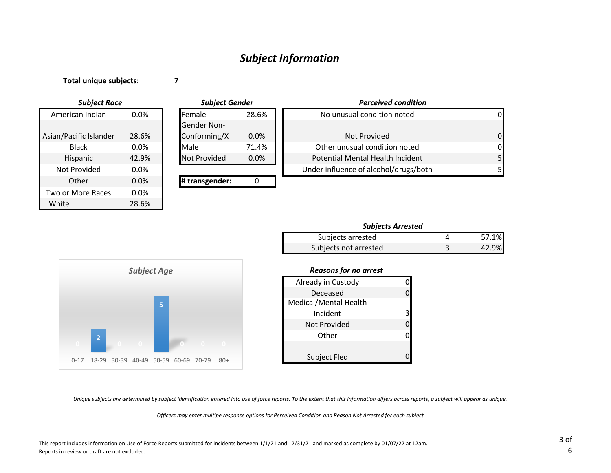### *Subject Information*

**Total unique subjects:**

**7**

28.6% 0.0% 0.0% White 28.6% Black American Indian Asian/Pacific Islander Two or More Races **Other** Not Provided Hispanic *Subject Race Subject Gender*

|         | <b>Subject Gender</b> |         | <b>Perceived condition</b>            |          |
|---------|-----------------------|---------|---------------------------------------|----------|
| $0.0\%$ | lFemale               | 28.6%   | No unusual condition noted            | 0        |
|         | <b>Gender Non-</b>    |         |                                       |          |
| 28.6%   | Conforming/X          | $0.0\%$ | Not Provided                          | $\Omega$ |
| $0.0\%$ | Male                  | 71.4%   | Other unusual condition noted         | $\Omega$ |
| 42.9%   | <b>Not Provided</b>   | $0.0\%$ | Potential Mental Health Incident      | 5        |
| $0.0\%$ |                       |         | Under influence of alcohol/drugs/both | 51       |
| 0.0%    | # transgender:        |         |                                       |          |

| Subjects arrested     | 57.1% |
|-----------------------|-------|
| Subjects not arrested | 42.9% |



#### *Reasons for no arrest*

| Already in Custody    |   |
|-----------------------|---|
| Deceased              |   |
| Medical/Mental Health |   |
| Incident              | 3 |
| Not Provided          |   |
| Other                 |   |
|                       |   |
| Subject Fled          |   |

*Unique subjects are determined by subject identification entered into use of force reports. To the extent that this information differs across reports, a subject will appear as unique.*

*Officers may enter multipe response options for Perceived Condition and Reason Not Arrested for each subject*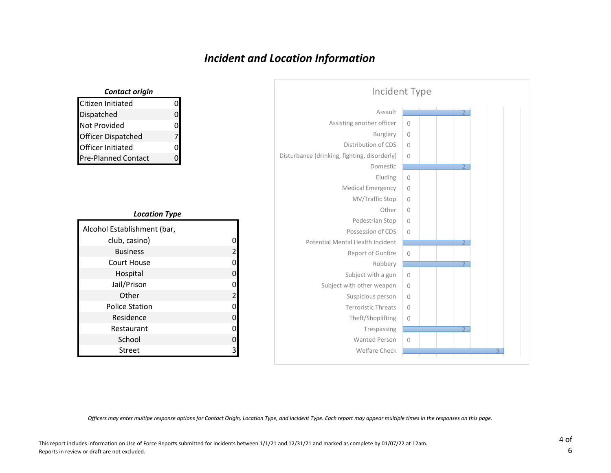## *Incident and Location Information*

| Incident Type                                |                |                          |  |
|----------------------------------------------|----------------|--------------------------|--|
| Assault                                      |                |                          |  |
| Assisting another officer                    | $\Omega$       |                          |  |
| <b>Burglary</b>                              | $\overline{0}$ |                          |  |
| Distribution of CDS                          | $\Omega$       |                          |  |
| Disturbance (drinking, fighting, disorderly) | $\mathbf{0}$   |                          |  |
| Domestic                                     |                | $\overline{\mathcal{I}}$ |  |
| Eluding                                      | $\overline{0}$ |                          |  |
| Medical Emergency                            | $\mathbf{0}$   |                          |  |
| MV/Traffic Stop                              | $\mathbf{0}$   |                          |  |
| Other                                        | $\mathbf 0$    |                          |  |
| Pedestrian Stop                              | $\mathbf{0}$   |                          |  |
| Possession of CDS                            | $\mathbf{0}$   |                          |  |
| Potential Mental Health Incident             |                | $\overline{2}$           |  |
| Report of Gunfire                            | $\circ$        |                          |  |
| Robbery                                      |                |                          |  |
| Subject with a gun                           | $\circ$        |                          |  |
| Subject with other weapon                    | $\mathbf{0}$   |                          |  |
| Suspicious person                            | $\mathbf{0}$   |                          |  |
| <b>Terroristic Threats</b>                   | $\mathbf{0}$   |                          |  |
| Theft/Shoplifting                            | $\circ$        |                          |  |
| Trespassing                                  |                |                          |  |
| <b>Wanted Person</b>                         | $\overline{0}$ |                          |  |
| Welfare Check                                |                |                          |  |

### Citizen Initiated 0 Dispatched 0 Not Provided 0 Officer Dispatched 7 Officer Initiated 0 Pre-Planned Contact 0 *Contact origin*

#### *Location Type*

| Alcohol Establishment (bar, |                |
|-----------------------------|----------------|
| club, casino)               |                |
| <b>Business</b>             | 2              |
| Court House                 | 0              |
| Hospital                    | 0              |
| Jail/Prison                 | 0              |
| Other                       | $\overline{2}$ |
| <b>Police Station</b>       | 0              |
| Residence                   | 0              |
| Restaurant                  | 0              |
| School                      | 0              |
| Street                      | ੨              |

*Officers may enter multipe response options for Contact Origin, Location Type, and Incident Type. Each report may appear multiple times in the responses on this page.*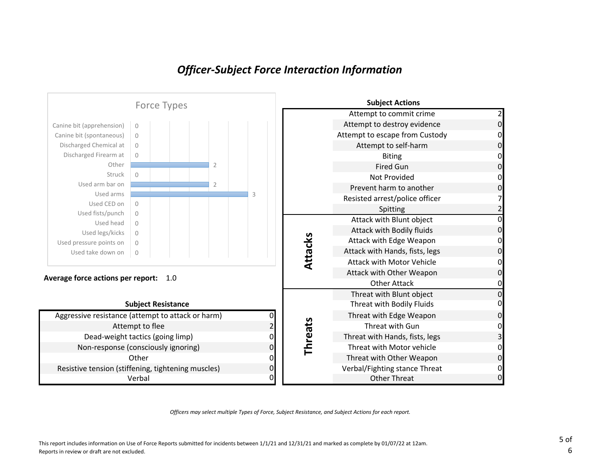### *Officer-Subject Force Interaction Information*